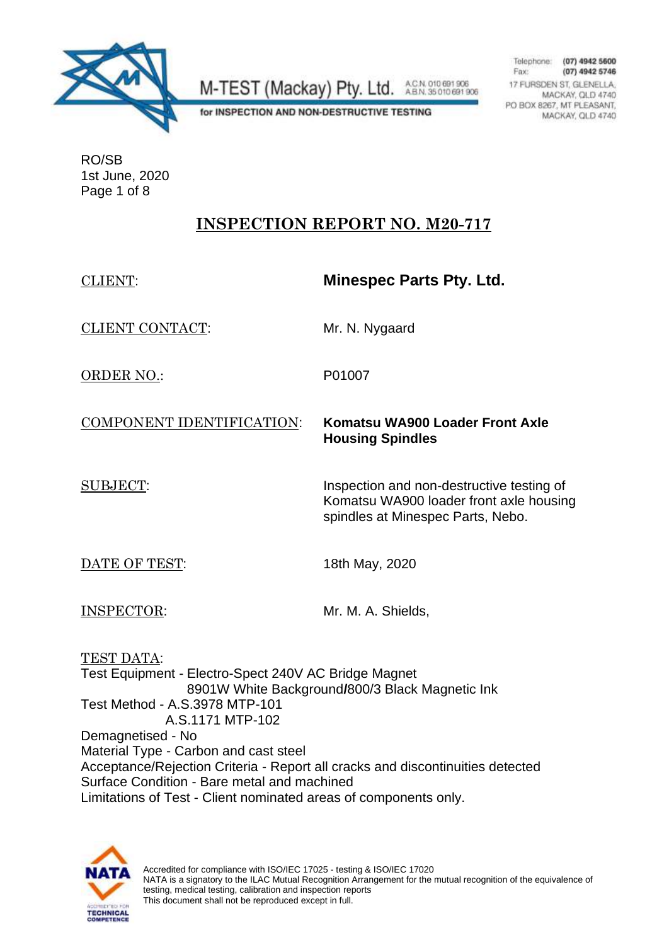

A.C.N. 010 691 906<br>A.B.N. 35 010 691 906 M-TEST (Mackay) Pty. Ltd.

Telephone: (07) 4942 5600 Fax: (07) 4942 5746 17 FURSDEN ST, GLENELLA. MACKAY, QLD 4740 PO BOX 8267, MT PLEASANT, MACKAY, QLD 4740

for INSPECTION AND NON-DESTRUCTIVE TESTING

RO/SB 1st June, 2020 Page 1 of 8

### **INSPECTION REPORT NO. M20-717**

| <b>CLIENT:</b>                                                                                                                                                                                                                                                                                                                                                             | <b>Minespec Parts Pty. Ltd.</b>                                                                                           |
|----------------------------------------------------------------------------------------------------------------------------------------------------------------------------------------------------------------------------------------------------------------------------------------------------------------------------------------------------------------------------|---------------------------------------------------------------------------------------------------------------------------|
| <b>CLIENT CONTACT:</b>                                                                                                                                                                                                                                                                                                                                                     | Mr. N. Nygaard                                                                                                            |
| <b>ORDER NO.:</b>                                                                                                                                                                                                                                                                                                                                                          | P01007                                                                                                                    |
| COMPONENT IDENTIFICATION:                                                                                                                                                                                                                                                                                                                                                  | Komatsu WA900 Loader Front Axle<br><b>Housing Spindles</b>                                                                |
| <b>SUBJECT:</b>                                                                                                                                                                                                                                                                                                                                                            | Inspection and non-destructive testing of<br>Komatsu WA900 loader front axle housing<br>spindles at Minespec Parts, Nebo. |
| DATE OF TEST:                                                                                                                                                                                                                                                                                                                                                              | 18th May, 2020                                                                                                            |
| <b>INSPECTOR:</b>                                                                                                                                                                                                                                                                                                                                                          | Mr. M. A. Shields,                                                                                                        |
| TEST DATA:<br>Test Equipment - Electro-Spect 240V AC Bridge Magnet<br>8901W White Background/800/3 Black Magnetic Ink<br>Test Method - A.S.3978 MTP-101<br>A.S.1171 MTP-102<br>Demagnetised - No<br>Material Type - Carbon and cast steel<br>Acceptance/Rejection Criteria - Report all cracks and discontinuities detected<br>Surface Condition - Bare metal and machined |                                                                                                                           |
| Limitations of Test - Client nominated areas of components only.                                                                                                                                                                                                                                                                                                           |                                                                                                                           |

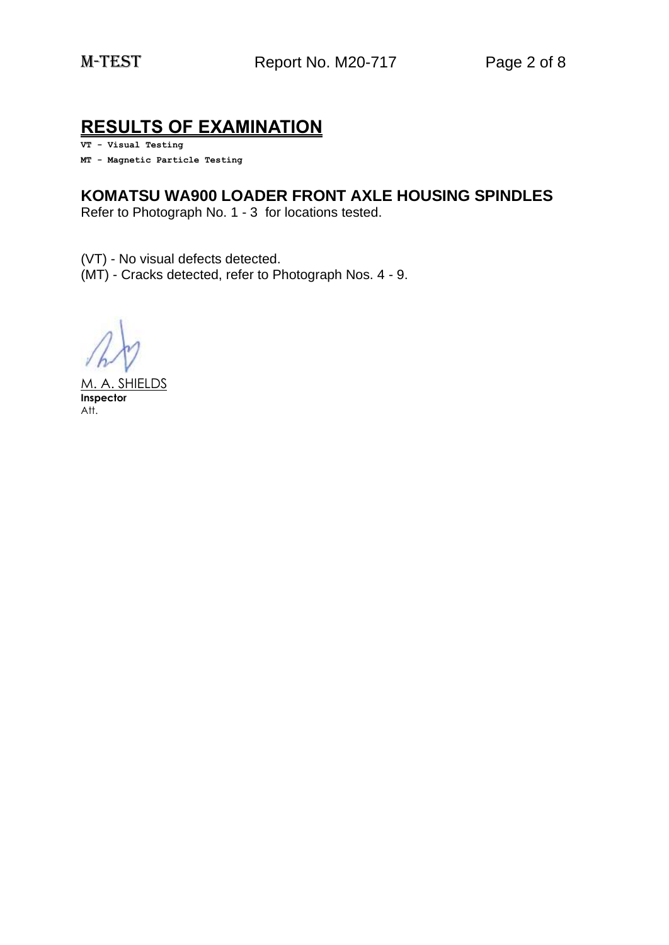## **RESULTS OF EXAMINATION**

**VT - Visual Testing**

**MT - Magnetic Particle Testing**

#### **KOMATSU WA900 LOADER FRONT AXLE HOUSING SPINDLES**

Refer to Photograph No. 1 - 3 for locations tested.

(VT) - No visual defects detected. (MT) - Cracks detected, refer to Photograph Nos. 4 - 9.

M. A. SHIELDS **Inspector** Att.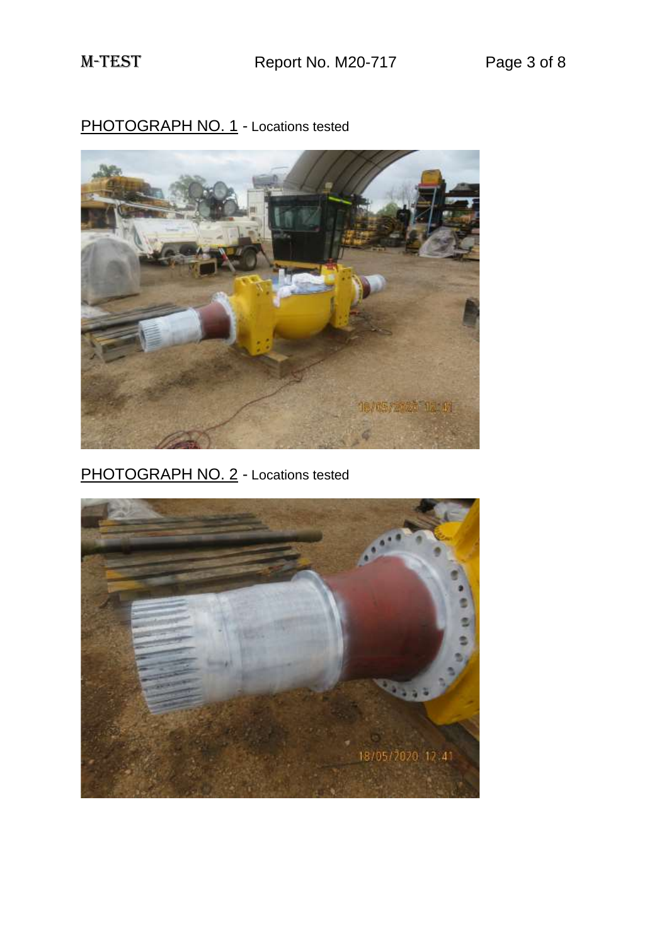PHOTOGRAPH NO. 1 - Locations tested



PHOTOGRAPH NO. 2 - Locations tested

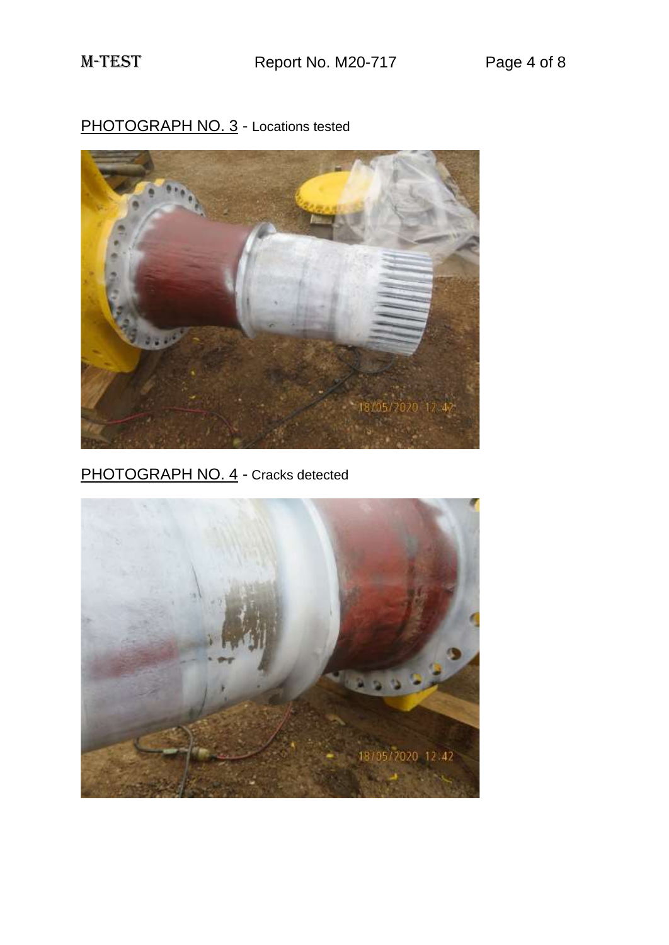# PHOTOGRAPH NO. 3 - Locations tested



PHOTOGRAPH NO. 4 - Cracks detected

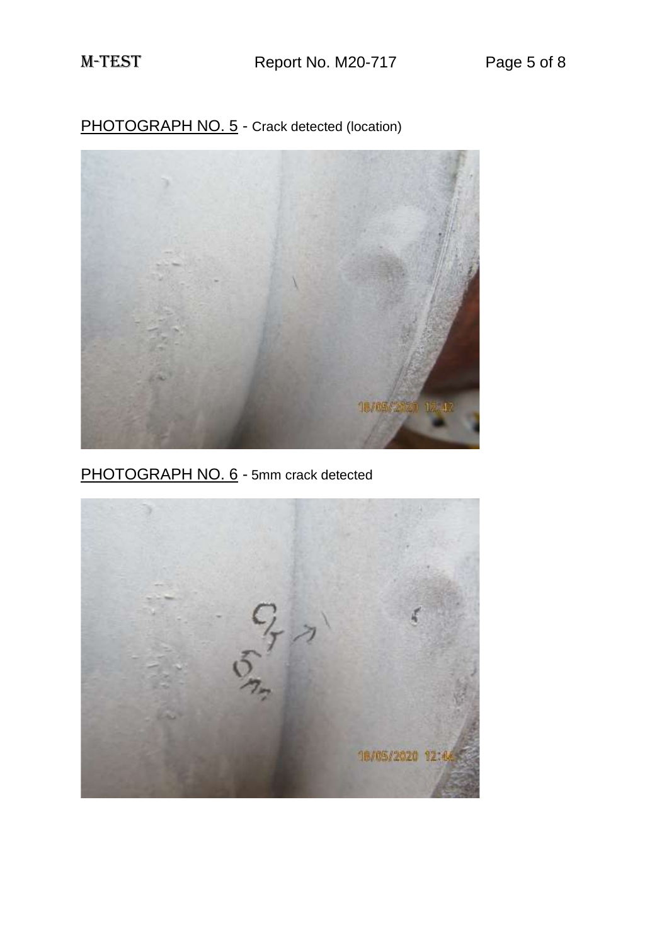PHOTOGRAPH NO. 5 - Crack detected (location)



PHOTOGRAPH NO. 6 - 5mm crack detected

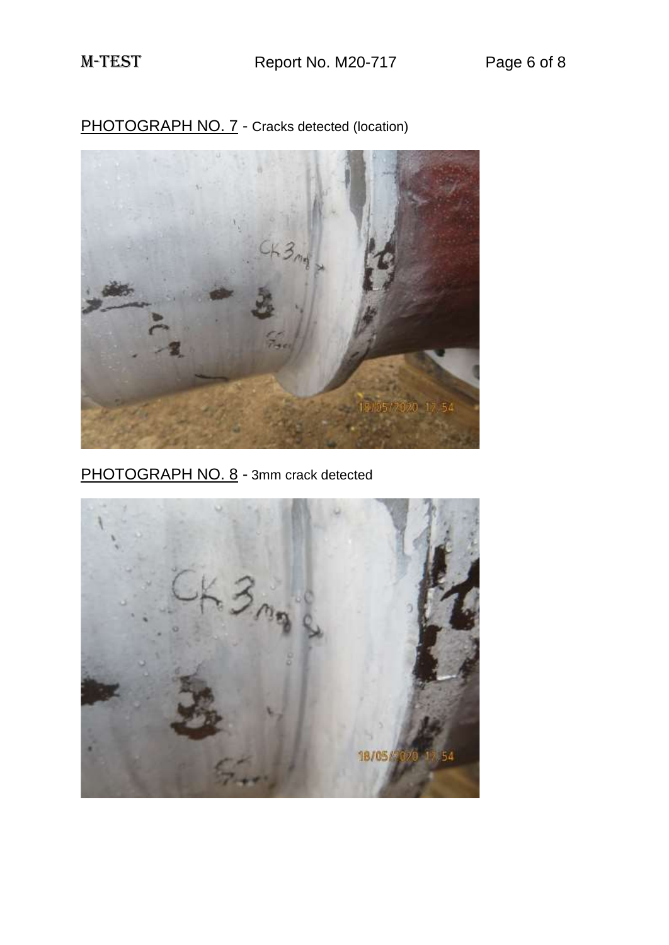

PHOTOGRAPH NO. 7 - Cracks detected (location)

PHOTOGRAPH NO. 8 - 3mm crack detected

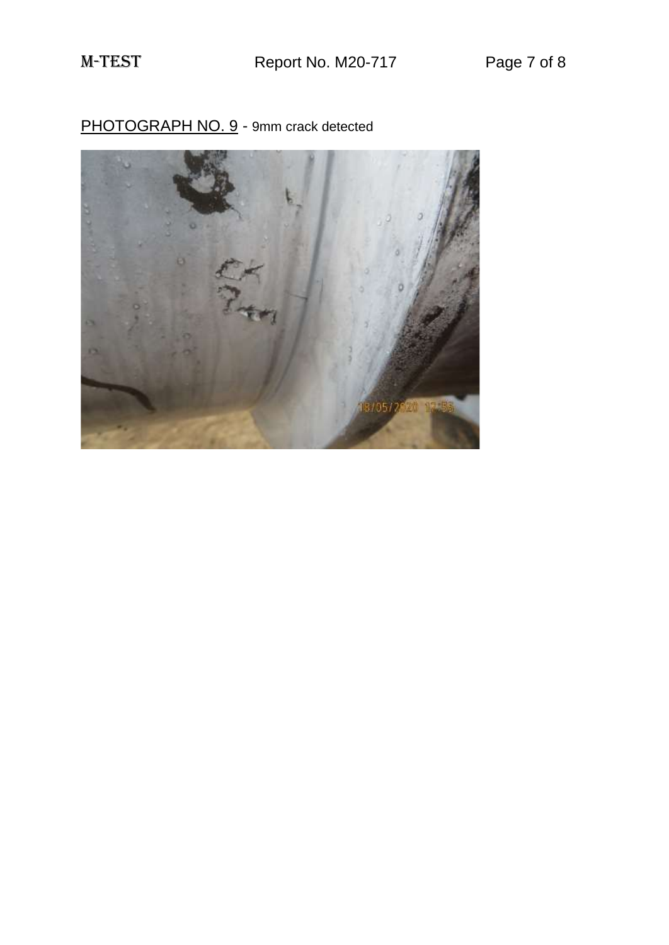

PHOTOGRAPH NO. 9 - 9mm crack detected